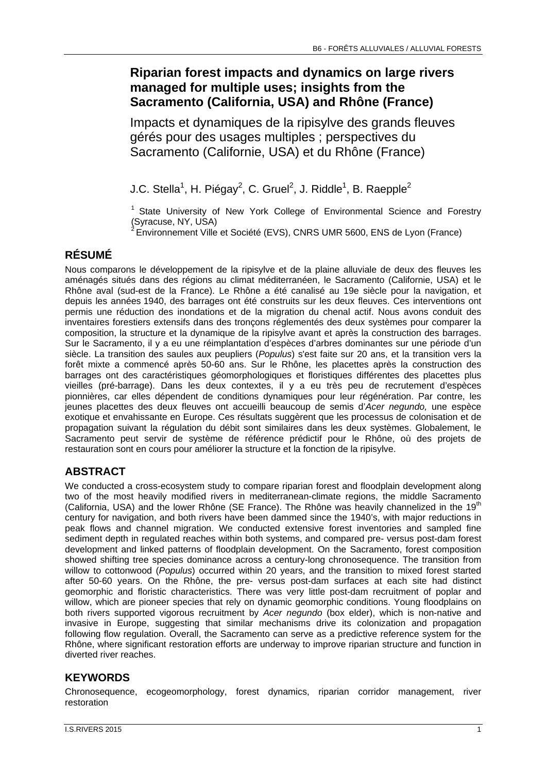# **Riparian forest impacts and dynamics on large rivers managed for multiple uses; insights from the Sacramento (California, USA) and Rhône (France)**

Impacts et dynamiques de la ripisylve des grands fleuves gérés pour des usages multiples ; perspectives du Sacramento (Californie, USA) et du Rhône (France)

J.C. Stella $^1$ , H. Piégay $^2$ , C. Gruel $^2$ , J. Riddle $^1$ , B. Raepple $^2$ 

<sup>1</sup> State University of New York College of Environmental Science and Forestry (Syracuse, NY, USA)

2 Environnement Ville et Société (EVS), CNRS UMR 5600, ENS de Lyon (France)

### **RÉSUMÉ**

Nous comparons le développement de la ripisylve et de la plaine alluviale de deux des fleuves les aménagés situés dans des régions au climat méditerranéen, le Sacramento (Californie, USA) et le Rhône aval (sud-est de la France). Le Rhône a été canalisé au 19e siècle pour la navigation, et depuis les années 1940, des barrages ont été construits sur les deux fleuves. Ces interventions ont permis une réduction des inondations et de la migration du chenal actif. Nous avons conduit des inventaires forestiers extensifs dans des tronçons réglementés des deux systèmes pour comparer la composition, la structure et la dynamique de la ripisylve avant et après la construction des barrages. Sur le Sacramento, il y a eu une réimplantation d'espèces d'arbres dominantes sur une période d'un siècle. La transition des saules aux peupliers (*Populus*) s'est faite sur 20 ans, et la transition vers la forêt mixte a commencé après 50-60 ans. Sur le Rhône, les placettes après la construction des barrages ont des caractéristiques géomorphologiques et floristiques différentes des placettes plus vieilles (pré-barrage). Dans les deux contextes, il y a eu très peu de recrutement d'espèces pionnières, car elles dépendent de conditions dynamiques pour leur régénération. Par contre, les jeunes placettes des deux fleuves ont accueilli beaucoup de semis d'*Acer negundo,* une espèce exotique et envahissante en Europe. Ces résultats suggèrent que les processus de colonisation et de propagation suivant la régulation du débit sont similaires dans les deux systèmes. Globalement, le Sacramento peut servir de système de référence prédictif pour le Rhône, où des projets de restauration sont en cours pour améliorer la structure et la fonction de la ripisylve.

# **ABSTRACT**

We conducted a cross-ecosystem study to compare riparian forest and floodplain development along two of the most heavily modified rivers in mediterranean-climate regions, the middle Sacramento (California, USA) and the lower Rhône (SE France). The Rhône was heavily channelized in the 19<sup>th</sup> century for navigation, and both rivers have been dammed since the 1940's, with major reductions in peak flows and channel migration. We conducted extensive forest inventories and sampled fine sediment depth in regulated reaches within both systems, and compared pre- versus post-dam forest development and linked patterns of floodplain development. On the Sacramento, forest composition showed shifting tree species dominance across a century-long chronosequence. The transition from willow to cottonwood (*Populus*) occurred within 20 years, and the transition to mixed forest started after 50-60 years. On the Rhône, the pre- versus post-dam surfaces at each site had distinct geomorphic and floristic characteristics. There was very little post-dam recruitment of poplar and willow, which are pioneer species that rely on dynamic geomorphic conditions. Young floodplains on both rivers supported vigorous recruitment by *Acer negundo* (box elder), which is non-native and invasive in Europe, suggesting that similar mechanisms drive its colonization and propagation following flow regulation. Overall, the Sacramento can serve as a predictive reference system for the Rhône, where significant restoration efforts are underway to improve riparian structure and function in diverted river reaches.

## **KEYWORDS**

Chronosequence, ecogeomorphology, forest dynamics, riparian corridor management, river restoration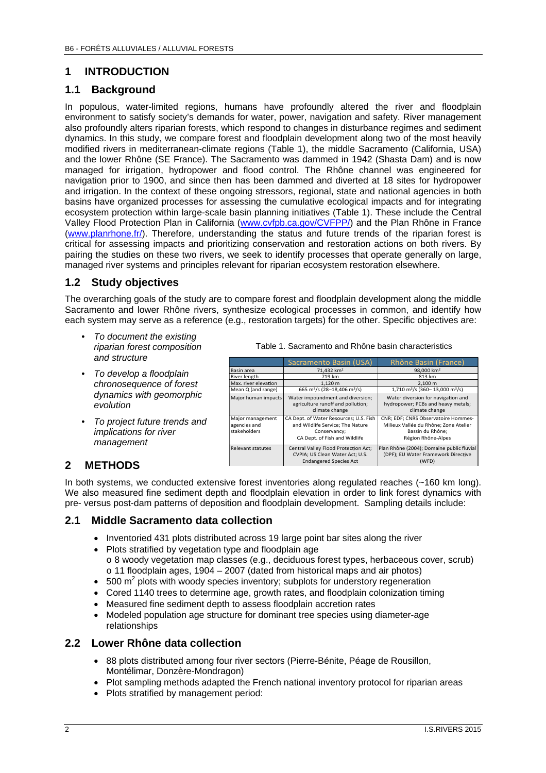### **1 INTRODUCTION**

#### **1.1 Background**

In populous, water-limited regions, humans have profoundly altered the river and floodplain environment to satisfy society's demands for water, power, navigation and safety. River management also profoundly alters riparian forests, which respond to changes in disturbance regimes and sediment dynamics. In this study, we compare forest and floodplain development along two of the most heavily modified rivers in mediterranean-climate regions (Table 1), the middle Sacramento (California, USA) and the lower Rhône (SE France). The Sacramento was dammed in 1942 (Shasta Dam) and is now managed for irrigation, hydropower and flood control. The Rhône channel was engineered for navigation prior to 1900, and since then has been dammed and diverted at 18 sites for hydropower and irrigation. In the context of these ongoing stressors, regional, state and national agencies in both basins have organized processes for assessing the cumulative ecological impacts and for integrating ecosystem protection within large-scale basin planning initiatives (Table 1). These include the Central Valley Flood Protection Plan in California (www.cvfpb.ca.gov/CVFPP/) and the Plan Rhône in France (www.planrhone.fr/). Therefore, understanding the status and future trends of the riparian forest is critical for assessing impacts and prioritizing conservation and restoration actions on both rivers. By pairing the studies on these two rivers, we seek to identify processes that operate generally on large, managed river systems and principles relevant for riparian ecosystem restoration elsewhere.

### **1.2 Study objectives**

The overarching goals of the study are to compare forest and floodplain development along the middle Sacramento and lower Rhône rivers, synthesize ecological processes in common, and identify how each system may serve as a reference (e.g., restoration targets) for the other. Specific objectives are:

- *To document the existing riparian forest composition and structure*
- *To develop a floodplain chronosequence of forest dynamics with geomorphic evolution*
- *To project future trends and implications for river management*

Table 1. Sacramento and Rhône basin characteristics

|                                                  | Sacramento Basin (USA)                                                                                                      | Rhône Basin (France)                                                                                                   |
|--------------------------------------------------|-----------------------------------------------------------------------------------------------------------------------------|------------------------------------------------------------------------------------------------------------------------|
| Basin area                                       | 71.432 km <sup>2</sup>                                                                                                      | 98,000 km <sup>2</sup>                                                                                                 |
| River length                                     | 719 km                                                                                                                      | 813 km                                                                                                                 |
| Max. river elevation                             | 1.120 m                                                                                                                     | 2.100 m                                                                                                                |
| Mean Q (and range)                               | 665 m <sup>3</sup> /s (28-18,406 m <sup>3</sup> /s)                                                                         | 1,710 m <sup>3</sup> /s (360-13,000 m <sup>3</sup> /s)                                                                 |
| Major human impacts                              | Water impoundment and diversion;<br>agriculture runoff and pollution;<br>climate change                                     | Water diversion for navigation and<br>hydropower; PCBs and heavy metals;<br>climate change                             |
| Major management<br>agencies and<br>stakeholders | CA Dept. of Water Resources; U.S. Fish<br>and Wildlife Service; The Nature<br>Conservancy;<br>CA Dept. of Fish and Wildlife | CNR; EDF; CNRS Observatoire Hommes-<br>Milieux Vallée du Rhône: Zone Atelier<br>Bassin du Rhône:<br>Région Rhône-Alpes |
| <b>Relevant statutes</b>                         | Central Valley Flood Protection Act;<br>CVPIA; US Clean Water Act; U.S.<br><b>Endangered Species Act</b>                    | Plan Rhône (2004); Domaine public fluvial<br>(DPF); EU Water Framework Directive<br>(WFD)                              |

### **2 METHODS**

In both systems, we conducted extensive forest inventories along regulated reaches (~160 km long). We also measured fine sediment depth and floodplain elevation in order to link forest dynamics with pre- versus post-dam patterns of deposition and floodplain development. Sampling details include:

#### **2.1 Middle Sacramento data collection**

- Inventoried 431 plots distributed across 19 large point bar sites along the river
- Plots stratified by vegetation type and floodplain age o 8 woody vegetation map classes (e.g., deciduous forest types, herbaceous cover, scrub) o 11 floodplain ages, 1904 – 2007 (dated from historical maps and air photos)
- $\bullet$  500 m<sup>2</sup> plots with woody species inventory; subplots for understory regeneration
- Cored 1140 trees to determine age, growth rates, and floodplain colonization timing
- Measured fine sediment depth to assess floodplain accretion rates
- Modeled population age structure for dominant tree species using diameter-age relationships

#### **2.2 Lower Rhône data collection**

- 88 plots distributed among four river sectors (Pierre-Bénite, Péage de Rousillon, Montélimar, Donzère-Mondragon)
- Plot sampling methods adapted the French national inventory protocol for riparian areas
- Plots stratified by management period: